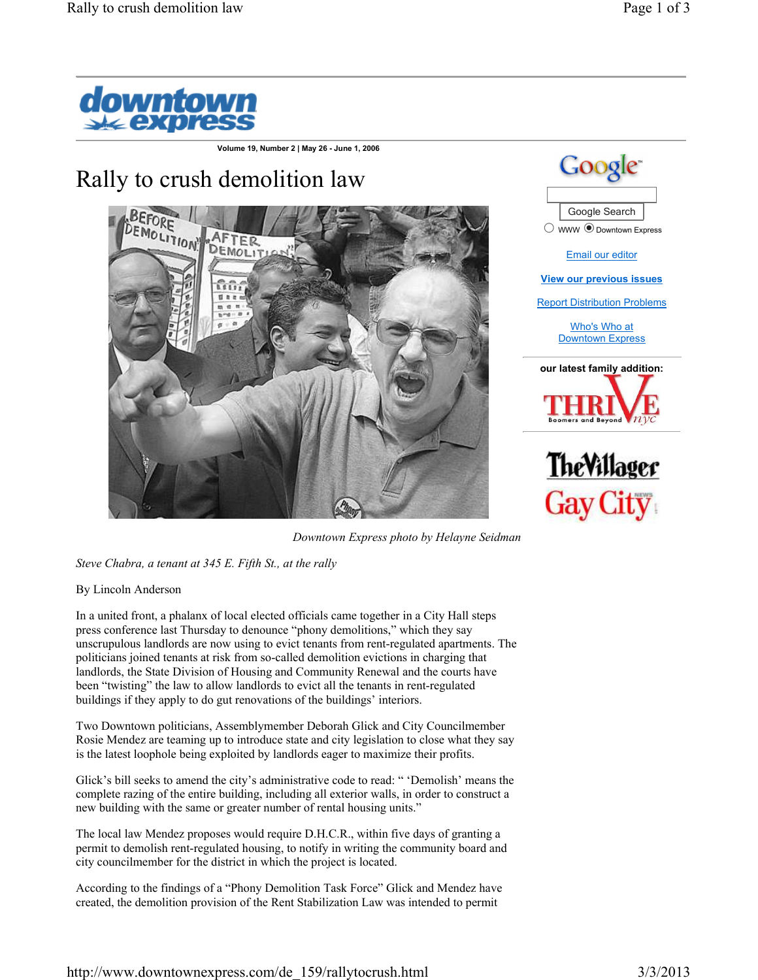

**Volume 19, Number 2 | May 26 - June 1, 2006**

## Rally to crush demolition law







*Downtown Express photo by Helayne Seidman*

*Steve Chabra, a tenant at 345 E. Fifth St., at the rally*

By Lincoln Anderson

In a united front, a phalanx of local elected officials came together in a City Hall steps press conference last Thursday to denounce "phony demolitions," which they say unscrupulous landlords are now using to evict tenants from rent-regulated apartments. The politicians joined tenants at risk from so-called demolition evictions in charging that landlords, the State Division of Housing and Community Renewal and the courts have been "twisting" the law to allow landlords to evict all the tenants in rent-regulated buildings if they apply to do gut renovations of the buildings' interiors.

Two Downtown politicians, Assemblymember Deborah Glick and City Councilmember Rosie Mendez are teaming up to introduce state and city legislation to close what they say is the latest loophole being exploited by landlords eager to maximize their profits.

Glick's bill seeks to amend the city's administrative code to read: " 'Demolish' means the complete razing of the entire building, including all exterior walls, in order to construct a new building with the same or greater number of rental housing units."

The local law Mendez proposes would require D.H.C.R., within five days of granting a permit to demolish rent-regulated housing, to notify in writing the community board and city councilmember for the district in which the project is located.

According to the findings of a "Phony Demolition Task Force" Glick and Mendez have created, the demolition provision of the Rent Stabilization Law was intended to permit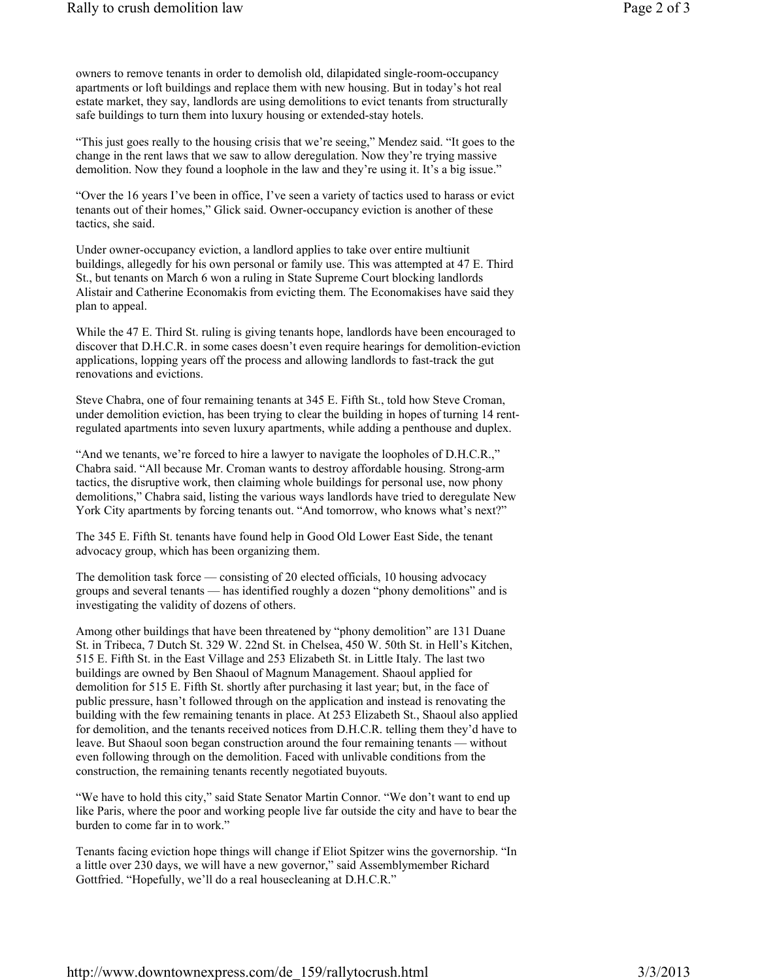owners to remove tenants in order to demolish old, dilapidated single-room-occupancy apartments or loft buildings and replace them with new housing. But in today's hot real estate market, they say, landlords are using demolitions to evict tenants from structurally safe buildings to turn them into luxury housing or extended-stay hotels.

"This just goes really to the housing crisis that we're seeing," Mendez said. "It goes to the change in the rent laws that we saw to allow deregulation. Now they're trying massive demolition. Now they found a loophole in the law and they're using it. It's a big issue."

"Over the 16 years I've been in office, I've seen a variety of tactics used to harass or evict tenants out of their homes," Glick said. Owner-occupancy eviction is another of these tactics, she said.

Under owner-occupancy eviction, a landlord applies to take over entire multiunit buildings, allegedly for his own personal or family use. This was attempted at 47 E. Third St., but tenants on March 6 won a ruling in State Supreme Court blocking landlords Alistair and Catherine Economakis from evicting them. The Economakises have said they plan to appeal.

While the 47 E. Third St. ruling is giving tenants hope, landlords have been encouraged to discover that D.H.C.R. in some cases doesn't even require hearings for demolition-eviction applications, lopping years off the process and allowing landlords to fast-track the gut renovations and evictions.

Steve Chabra, one of four remaining tenants at 345 E. Fifth St., told how Steve Croman, under demolition eviction, has been trying to clear the building in hopes of turning 14 rentregulated apartments into seven luxury apartments, while adding a penthouse and duplex.

"And we tenants, we're forced to hire a lawyer to navigate the loopholes of D.H.C.R.," Chabra said. "All because Mr. Croman wants to destroy affordable housing. Strong-arm tactics, the disruptive work, then claiming whole buildings for personal use, now phony demolitions," Chabra said, listing the various ways landlords have tried to deregulate New York City apartments by forcing tenants out. "And tomorrow, who knows what's next?"

The 345 E. Fifth St. tenants have found help in Good Old Lower East Side, the tenant advocacy group, which has been organizing them.

The demolition task force — consisting of 20 elected officials, 10 housing advocacy groups and several tenants — has identified roughly a dozen "phony demolitions" and is investigating the validity of dozens of others.

Among other buildings that have been threatened by "phony demolition" are 131 Duane St. in Tribeca, 7 Dutch St. 329 W. 22nd St. in Chelsea, 450 W. 50th St. in Hell's Kitchen, 515 E. Fifth St. in the East Village and 253 Elizabeth St. in Little Italy. The last two buildings are owned by Ben Shaoul of Magnum Management. Shaoul applied for demolition for 515 E. Fifth St. shortly after purchasing it last year; but, in the face of public pressure, hasn't followed through on the application and instead is renovating the building with the few remaining tenants in place. At 253 Elizabeth St., Shaoul also applied for demolition, and the tenants received notices from D.H.C.R. telling them they'd have to leave. But Shaoul soon began construction around the four remaining tenants — without even following through on the demolition. Faced with unlivable conditions from the construction, the remaining tenants recently negotiated buyouts.

"We have to hold this city," said State Senator Martin Connor. "We don't want to end up like Paris, where the poor and working people live far outside the city and have to bear the burden to come far in to work."

Tenants facing eviction hope things will change if Eliot Spitzer wins the governorship. "In a little over 230 days, we will have a new governor," said Assemblymember Richard Gottfried. "Hopefully, we'll do a real housecleaning at D.H.C.R."